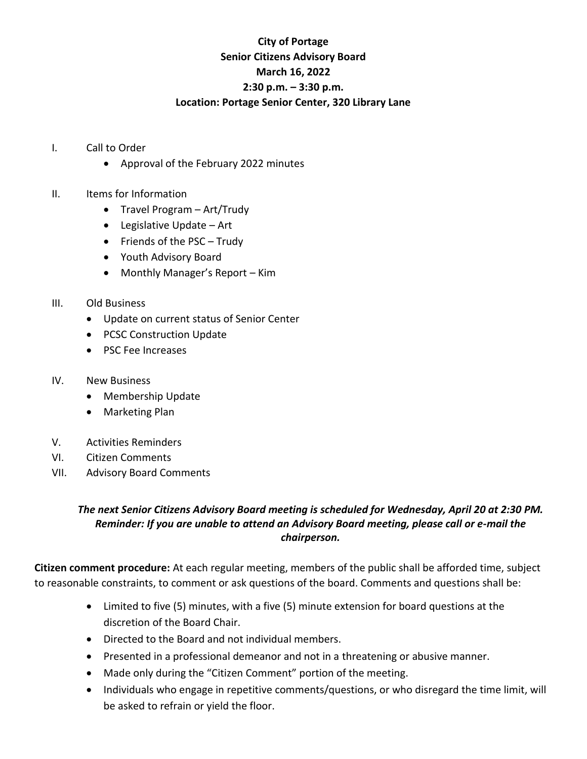## **City of Portage Senior Citizens Advisory Board March 16, 2022 2:30 p.m. – 3:30 p.m. Location: Portage Senior Center, 320 Library Lane**

- I. Call to Order
	- Approval of the February 2022 minutes
- II. Items for Information
	- Travel Program Art/Trudy
	- Legislative Update Art
	- Friends of the PSC Trudy
	- Youth Advisory Board
	- Monthly Manager's Report Kim
- III. Old Business
	- Update on current status of Senior Center
	- PCSC Construction Update
	- PSC Fee Increases
- IV. New Business
	- Membership Update
	- Marketing Plan
- V. Activities Reminders
- VI. Citizen Comments
- VII. Advisory Board Comments

## *The next Senior Citizens Advisory Board meeting is scheduled for Wednesday, April 20 at 2:30 PM. Reminder: If you are unable to attend an Advisory Board meeting, please call or e-mail the chairperson.*

**Citizen comment procedure:** At each regular meeting, members of the public shall be afforded time, subject to reasonable constraints, to comment or ask questions of the board. Comments and questions shall be:

- Limited to five (5) minutes, with a five (5) minute extension for board questions at the discretion of the Board Chair.
- Directed to the Board and not individual members.
- Presented in a professional demeanor and not in a threatening or abusive manner.
- Made only during the "Citizen Comment" portion of the meeting.
- Individuals who engage in repetitive comments/questions, or who disregard the time limit, will be asked to refrain or yield the floor.